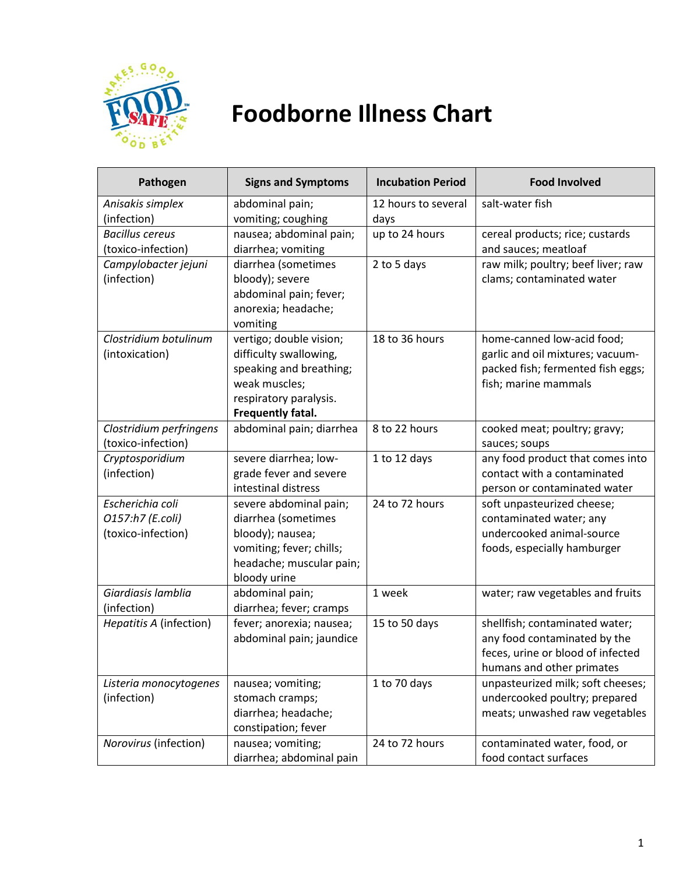

## **Foodborne Illness Chart**

| Pathogen                             | <b>Signs and Symptoms</b>                                                                                      | <b>Incubation Period</b> | <b>Food Involved</b>                                                                                                     |
|--------------------------------------|----------------------------------------------------------------------------------------------------------------|--------------------------|--------------------------------------------------------------------------------------------------------------------------|
| Anisakis simplex                     | abdominal pain;                                                                                                | 12 hours to several      | salt-water fish                                                                                                          |
| (infection)                          | vomiting; coughing                                                                                             | days                     |                                                                                                                          |
| <b>Bacillus cereus</b>               | nausea; abdominal pain;                                                                                        | up to 24 hours           | cereal products; rice; custards                                                                                          |
| (toxico-infection)                   | diarrhea; vomiting                                                                                             |                          | and sauces; meatloaf                                                                                                     |
| Campylobacter jejuni                 | diarrhea (sometimes                                                                                            | 2 to 5 days              | raw milk; poultry; beef liver; raw                                                                                       |
| (infection)                          | bloody); severe                                                                                                |                          | clams; contaminated water                                                                                                |
|                                      | abdominal pain; fever;                                                                                         |                          |                                                                                                                          |
|                                      | anorexia; headache;                                                                                            |                          |                                                                                                                          |
|                                      | vomiting                                                                                                       |                          |                                                                                                                          |
| Clostridium botulinum                | vertigo; double vision;                                                                                        | 18 to 36 hours           | home-canned low-acid food;                                                                                               |
| (intoxication)                       | difficulty swallowing,                                                                                         |                          | garlic and oil mixtures; vacuum-                                                                                         |
|                                      | speaking and breathing;                                                                                        |                          | packed fish; fermented fish eggs;                                                                                        |
|                                      | weak muscles;                                                                                                  |                          | fish; marine mammals                                                                                                     |
|                                      | respiratory paralysis.                                                                                         |                          |                                                                                                                          |
|                                      | Frequently fatal.                                                                                              |                          |                                                                                                                          |
| Clostridium perfringens              | abdominal pain; diarrhea                                                                                       | 8 to 22 hours            | cooked meat; poultry; gravy;                                                                                             |
| (toxico-infection)                   |                                                                                                                |                          | sauces; soups                                                                                                            |
| Cryptosporidium                      | severe diarrhea; low-                                                                                          | 1 to 12 days             | any food product that comes into                                                                                         |
| (infection)                          | grade fever and severe                                                                                         |                          | contact with a contaminated                                                                                              |
|                                      | intestinal distress                                                                                            |                          | person or contaminated water                                                                                             |
| Escherichia coli                     | severe abdominal pain;                                                                                         | 24 to 72 hours           | soft unpasteurized cheese;                                                                                               |
| O157:h7 (E.coli)                     | diarrhea (sometimes                                                                                            |                          | contaminated water; any                                                                                                  |
| (toxico-infection)                   | bloody); nausea;                                                                                               |                          | undercooked animal-source                                                                                                |
|                                      | vomiting; fever; chills;                                                                                       |                          | foods, especially hamburger                                                                                              |
|                                      | headache; muscular pain;                                                                                       |                          |                                                                                                                          |
|                                      | bloody urine                                                                                                   |                          |                                                                                                                          |
| Giardiasis lamblia                   | abdominal pain;                                                                                                | 1 week                   | water; raw vegetables and fruits                                                                                         |
| (infection)                          | diarrhea; fever; cramps                                                                                        |                          |                                                                                                                          |
| Hepatitis A (infection)              | fever; anorexia; nausea;                                                                                       | 15 to 50 days            | shellfish; contaminated water;                                                                                           |
|                                      | abdominal pain; jaundice                                                                                       |                          | any food contaminated by the                                                                                             |
|                                      |                                                                                                                |                          | feces, urine or blood of infected                                                                                        |
|                                      |                                                                                                                | 1 to 70 days             | humans and other primates<br>unpasteurized milk; soft cheeses;                                                           |
| Listeria monocytogenes               | nausea; vomiting;                                                                                              |                          |                                                                                                                          |
|                                      |                                                                                                                |                          |                                                                                                                          |
|                                      |                                                                                                                |                          |                                                                                                                          |
|                                      |                                                                                                                |                          |                                                                                                                          |
|                                      |                                                                                                                |                          |                                                                                                                          |
| (infection)<br>Norovirus (infection) | stomach cramps;<br>diarrhea; headache;<br>constipation; fever<br>nausea; vomiting;<br>diarrhea; abdominal pain | 24 to 72 hours           | undercooked poultry; prepared<br>meats; unwashed raw vegetables<br>contaminated water, food, or<br>food contact surfaces |